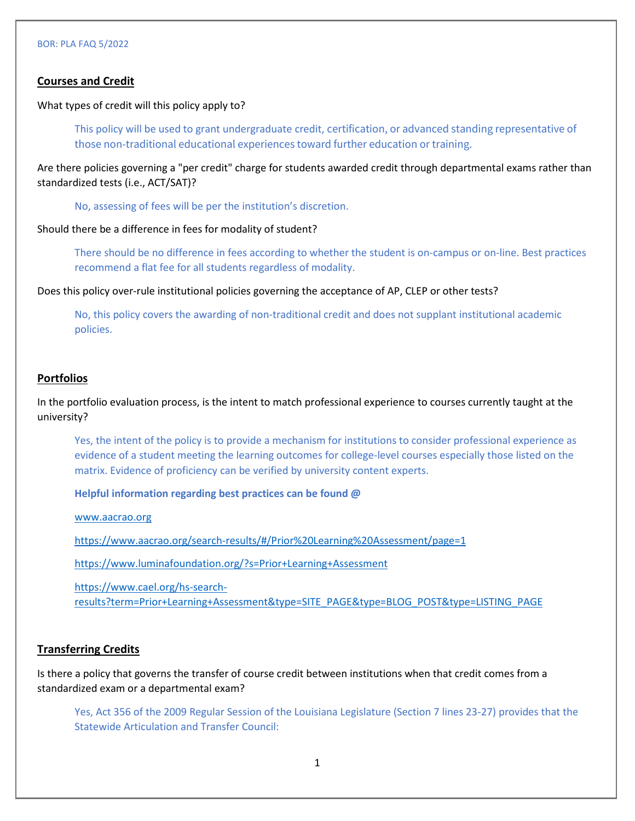## **Courses and Credit**

What types of credit will this policy apply to?

This policy will be used to grant undergraduate credit, certification, or advanced standing representative of those non-traditional educational experiences toward further education or training.

Are there policies governing a "per credit" charge for students awarded credit through departmental exams rather than standardized tests (i.e., ACT/SAT)?

No, assessing of fees will be per the institution's discretion.

Should there be a difference in fees for modality of student?

There should be no difference in fees according to whether the student is on-campus or on-line. Best practices recommend a flat fee for all students regardless of modality.

Does this policy over-rule institutional policies governing the acceptance of AP, CLEP or other tests?

No, this policy covers the awarding of non-traditional credit and does not supplant institutional academic policies.

## **Portfolios**

In the portfolio evaluation process, is the intent to match professional experience to courses currently taught at the university?

Yes, the intent of the policy is to provide a mechanism for institutions to consider professional experience as evidence of a student meeting the learning outcomes for college-level courses especially those listed on the matrix. Evidence of proficiency can be verified by university content experts.

**Helpful information regarding best practices can be found @** 

www.aacrao.org

https://www.aacrao.org/search-results/#/Prior%20Learning%20Assessment/page=1

https://www.luminafoundation.org/?s=Prior+Learning+Assessment

https://www.cael.org/hs-searchresults?term=Prior+Learning+Assessment&type=SITE\_PAGE&type=BLOG\_POST&type=LISTING\_PAGE

#### **Transferring Credits**

Is there a policy that governs the transfer of course credit between institutions when that credit comes from a standardized exam or a departmental exam?

Yes, Act 356 of the 2009 Regular Session of the Louisiana Legislature (Section 7 lines 23-27) provides that the Statewide Articulation and Transfer Council: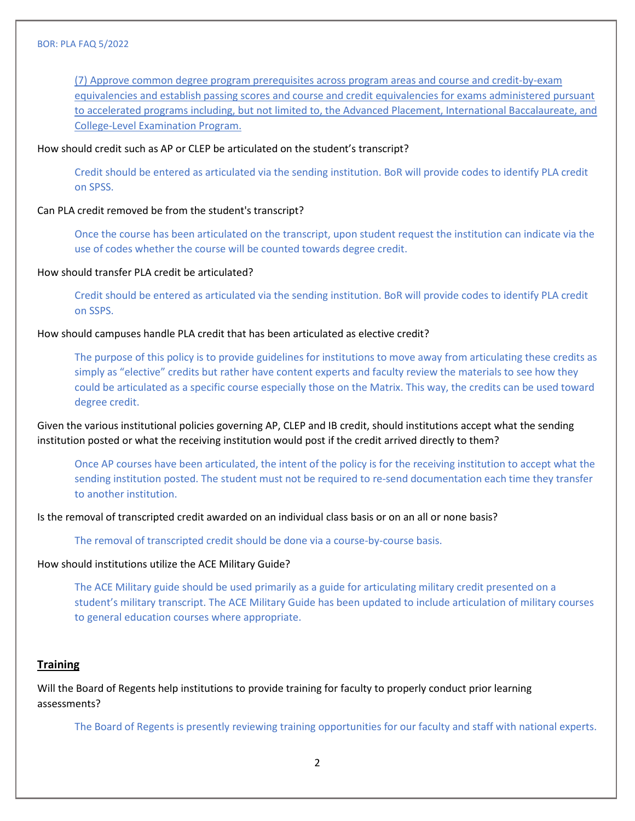(7) Approve common degree program prerequisites across program areas and course and credit-by-exam equivalencies and establish passing scores and course and credit equivalencies for exams administered pursuant to accelerated programs including, but not limited to, the Advanced Placement, International Baccalaureate, and College-Level Examination Program.

How should credit such as AP or CLEP be articulated on the student's transcript?

Credit should be entered as articulated via the sending institution. BoR will provide codes to identify PLA credit on SPSS.

Can PLA credit removed be from the student's transcript?

Once the course has been articulated on the transcript, upon student request the institution can indicate via the use of codes whether the course will be counted towards degree credit.

#### How should transfer PLA credit be articulated?

Credit should be entered as articulated via the sending institution. BoR will provide codes to identify PLA credit on SSPS.

How should campuses handle PLA credit that has been articulated as elective credit?

The purpose of this policy is to provide guidelines for institutions to move away from articulating these credits as simply as "elective" credits but rather have content experts and faculty review the materials to see how they could be articulated as a specific course especially those on the Matrix. This way, the credits can be used toward degree credit.

Given the various institutional policies governing AP, CLEP and IB credit, should institutions accept what the sending institution posted or what the receiving institution would post if the credit arrived directly to them?

Once AP courses have been articulated, the intent of the policy is for the receiving institution to accept what the sending institution posted. The student must not be required to re-send documentation each time they transfer to another institution.

Is the removal of transcripted credit awarded on an individual class basis or on an all or none basis?

The removal of transcripted credit should be done via a course-by-course basis.

How should institutions utilize the ACE Military Guide?

The ACE Military guide should be used primarily as a guide for articulating military credit presented on a student's military transcript. The ACE Military Guide has been updated to include articulation of military courses to general education courses where appropriate.

#### **Training**

Will the Board of Regents help institutions to provide training for faculty to properly conduct prior learning assessments?

The Board of Regents is presently reviewing training opportunities for our faculty and staff with national experts.